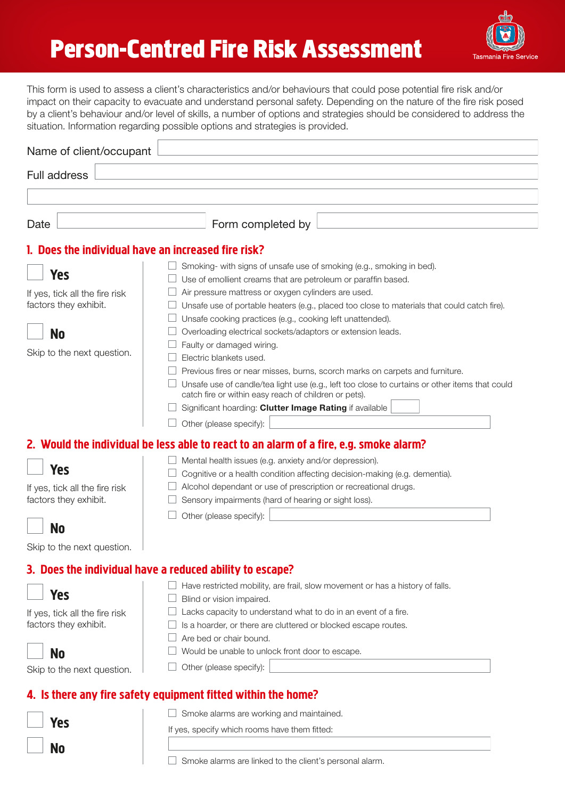# **Person-Centred Fire Risk Assessment**



This form is used to assess a client's characteristics and/or behaviours that could pose potential fire risk and/or impact on their capacity to evacuate and understand personal safety. Depending on the nature of the fire risk posed by a client's behaviour and/or level of skills, a number of options and strategies should be considered to address the situation. Information regarding possible options and strategies is provided.

| Name of client/occupant                                               |                                                                                                                                                                                                                                                                                                       |
|-----------------------------------------------------------------------|-------------------------------------------------------------------------------------------------------------------------------------------------------------------------------------------------------------------------------------------------------------------------------------------------------|
| Full address                                                          |                                                                                                                                                                                                                                                                                                       |
|                                                                       |                                                                                                                                                                                                                                                                                                       |
| Date                                                                  | Form completed by                                                                                                                                                                                                                                                                                     |
| 1. Does the individual have an increased fire risk?                   |                                                                                                                                                                                                                                                                                                       |
| <b>Yes</b><br>If yes, tick all the fire risk                          | Smoking- with signs of unsafe use of smoking (e.g., smoking in bed).<br>Use of emollient creams that are petroleum or paraffin based.<br>Air pressure mattress or oxygen cylinders are used.                                                                                                          |
| factors they exhibit.                                                 | Unsafe use of portable heaters (e.g., placed too close to materials that could catch fire).<br>Unsafe cooking practices (e.g., cooking left unattended).                                                                                                                                              |
| <b>No</b><br>Skip to the next question.                               | Overloading electrical sockets/adaptors or extension leads.<br>Faulty or damaged wiring.<br>Electric blankets used.<br>Previous fires or near misses, burns, scorch marks on carpets and furniture.<br>Unsafe use of candle/tea light use (e.g., left too close to curtains or other items that could |
|                                                                       | catch fire or within easy reach of children or pets).<br>Significant hoarding: Clutter Image Rating if available<br>Other (please specify):                                                                                                                                                           |
|                                                                       | 2. Would the individual be less able to react to an alarm of a fire, e.g. smoke alarm?                                                                                                                                                                                                                |
| <b>Yes</b><br>If yes, tick all the fire risk<br>factors they exhibit. | Mental health issues (e.g. anxiety and/or depression).<br>Cognitive or a health condition affecting decision-making (e.g. dementia).<br>Alcohol dependant or use of prescription or recreational drugs.<br>Sensory impairments (hard of hearing or sight loss).<br>Other (please specify):            |
| <b>No</b>                                                             |                                                                                                                                                                                                                                                                                                       |
| Skip to the next question.                                            | 3. Does the individual have a reduced ability to escape?                                                                                                                                                                                                                                              |
| <b>Yes</b>                                                            | Have restricted mobility, are frail, slow movement or has a history of falls.<br>Blind or vision impaired.                                                                                                                                                                                            |
| If yes, tick all the fire risk<br>factors they exhibit.               | Lacks capacity to understand what to do in an event of a fire.<br>Is a hoarder, or there are cluttered or blocked escape routes.<br>Are bed or chair bound.                                                                                                                                           |
| <b>No</b><br>Skip to the next question.                               | Would be unable to unlock front door to escape.<br>Other (please specify):                                                                                                                                                                                                                            |
|                                                                       | 4. Is there any fire safety equipment fitted within the home?                                                                                                                                                                                                                                         |
| <b>Yes</b>                                                            | Smoke alarms are working and maintained.<br>If yes, specify which rooms have them fitted:                                                                                                                                                                                                             |
| <b>No</b>                                                             |                                                                                                                                                                                                                                                                                                       |

 $\Box$  Smoke alarms are linked to the client's personal alarm.